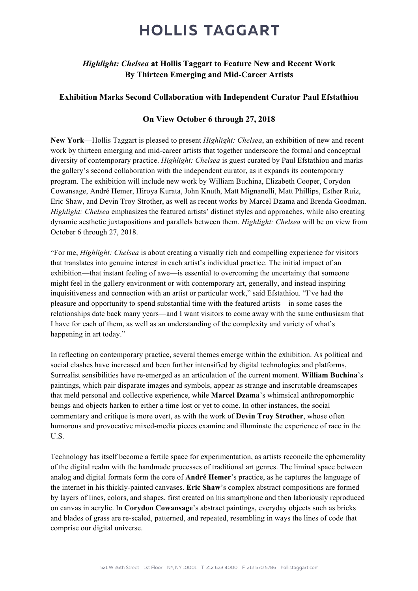### *Highlight: Chelsea* at Hollis Taggart to Feature New and Recent Work By Thirteen Emerging and Mid-Career Artists

#### Exhibition Marks Second Collaboration with Independent Curator Paul Efstathiou

### On View October 6 through 27, 2018

New York—Hollis Taggart is pleased to present *Highlight: Chelsea*, an exhibition of new and recent work by thirteen emerging and mid-career artists that together underscore the formal and conceptual diversity of contemporary practice. *Highlight: Chelsea* is guest curated by Paul Efstathiou and marks the gallery's second collaboration with the independent curator, as it expands its contemporary program. The exhibition will include new work by William Buchina, Elizabeth Cooper, Corydon Cowansage, André Hemer, Hiroya Kurata, John Knuth, Matt Mignanelli, Matt Phillips, Esther Ruiz, Eric Shaw, and Devin Troy Strother, as well as recent works by Marcel Dzama and Brenda Goodman. *Highlight: Chelsea* emphasizes the featured artists' distinct styles and approaches, while also creating dynamic aesthetic juxtapositions and parallels between them. *Highlight: Chelsea* will be on view from October 6 through 27, 2018.

"For me, *Highlight: Chelsea* is about creating a visually rich and compelling experience for visitors that translates into genuine interest in each artist's individual practice. The initial impact of an exhibition—that instant feeling of awe—is essential to overcoming the uncertainty that someone might feel in the gallery environment or with contemporary art, generally, and instead inspiring inquisitiveness and connection with an artist or particular work," said Efstathiou. "I've had the pleasure and opportunity to spend substantial time with the featured artists—in some cases the relationships date back many years—and I want visitors to come away with the same enthusiasm that I have for each of them, as well as an understanding of the complexity and variety of what's happening in art today."

In reflecting on contemporary practice, several themes emerge within the exhibition. As political and social clashes have increased and been further intensified by digital technologies and platforms, Surrealist sensibilities have re-emerged as an articulation of the current moment. William Buchina's paintings, which pair disparate images and symbols, appear as strange and inscrutable dreamscapes that meld personal and collective experience, while Marcel Dzama's whimsical anthropomorphic beings and objects harken to either a time lost or yet to come. In other instances, the social commentary and critique is more overt, as with the work of Devin Troy Strother, whose often humorous and provocative mixed-media pieces examine and illuminate the experience of race in the U.S.

Technology has itself become a fertile space for experimentation, as artists reconcile the ephemerality of the digital realm with the handmade processes of traditional art genres. The liminal space between analog and digital formats form the core of André Hemer's practice, as he captures the language of the internet in his thickly-painted canvases. Eric Shaw's complex abstract compositions are formed by layers of lines, colors, and shapes, first created on his smartphone and then laboriously reproduced on canvas in acrylic. In Corydon Cowansage's abstract paintings, everyday objects such as bricks and blades of grass are re-scaled, patterned, and repeated, resembling in ways the lines of code that comprise our digital universe.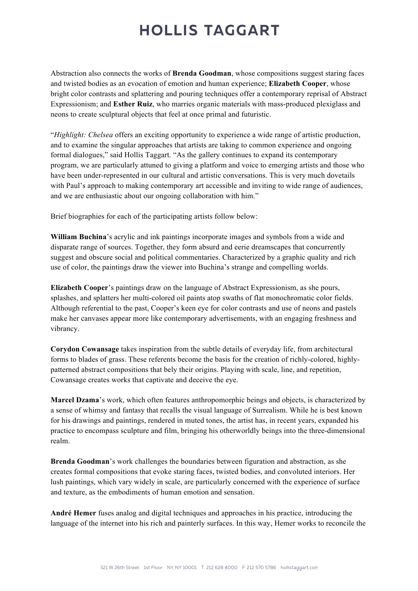Abstraction also connects the works of Brenda Goodman, whose compositions suggest staring faces and twisted bodies as an evocation of emotion and human experience; Elizabeth Cooper, whose bright color contrasts and splattering and pouring techniques offer a contemporary reprisal of Abstract Expressionism; and Esther Ruiz, who marries organic materials with mass-produced plexiglass and neons to create sculptural objects that feel at once primal and futuristic.

"*Highlight: Chelsea* offers an exciting opportunity to experience a wide range of artistic production, and to examine the singular approaches that artists are taking to common experience and ongoing formal dialogues," said Hollis Taggart. "As the gallery continues to expand its contemporary program, we are particularly attuned to giving a platform and voice to emerging artists and those who have been under-represented in our cultural and artistic conversations. This is very much dovetails with Paul's approach to making contemporary art accessible and inviting to wide range of audiences, and we are enthusiastic about our ongoing collaboration with him."

Brief biographies for each of the participating artists follow below:

William Buchina's acrylic and ink paintings incorporate images and symbols from a wide and disparate range of sources. Together, they form absurd and eerie dreamscapes that concurrently suggest and obscure social and political commentaries. Characterized by a graphic quality and rich use of color, the paintings draw the viewer into Buchina's strange and compelling worlds.

Elizabeth Cooper's paintings draw on the language of Abstract Expressionism, as she pours, splashes, and splatters her multi-colored oil paints atop swaths of flat monochromatic color fields. Although referential to the past, Cooper's keen eye for color contrasts and use of neons and pastels make her canvases appear more like contemporary advertisements, with an engaging freshness and vibrancy.

Corydon Cowansage takes inspiration from the subtle details of everyday life, from architectural forms to blades of grass. These referents become the basis for the creation of richly-colored, highlypatterned abstract compositions that bely their origins. Playing with scale, line, and repetition, Cowansage creates works that captivate and deceive the eye.

Marcel Dzama's work, which often features anthropomorphic beings and objects, is characterized by a sense of whimsy and fantasy that recalls the visual language of Surrealism. While he is best known for his drawings and paintings, rendered in muted tones, the artist has, in recent years, expanded his practice to encompass sculpture and film, bringing his otherworldly beings into the three-dimensional realm.

Brenda Goodman's work challenges the boundaries between figuration and abstraction, as she creates formal compositions that evoke staring faces, twisted bodies, and convoluted interiors. Her lush paintings, which vary widely in scale, are particularly concerned with the experience of surface and texture, as the embodiments of human emotion and sensation.

André Hemer fuses analog and digital techniques and approaches in his practice, introducing the language of the internet into his rich and painterly surfaces. In this way, Hemer works to reconcile the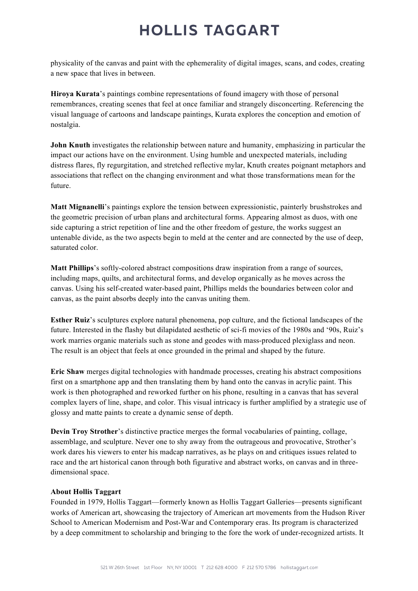physicality of the canvas and paint with the ephemerality of digital images, scans, and codes, creating a new space that lives in between.

Hiroya Kurata's paintings combine representations of found imagery with those of personal remembrances, creating scenes that feel at once familiar and strangely disconcerting. Referencing the visual language of cartoons and landscape paintings, Kurata explores the conception and emotion of nostalgia.

John Knuth investigates the relationship between nature and humanity, emphasizing in particular the impact our actions have on the environment. Using humble and unexpected materials, including distress flares, fly regurgitation, and stretched reflective mylar, Knuth creates poignant metaphors and associations that reflect on the changing environment and what those transformations mean for the future.

Matt Mignanelli's paintings explore the tension between expressionistic, painterly brushstrokes and the geometric precision of urban plans and architectural forms. Appearing almost as duos, with one side capturing a strict repetition of line and the other freedom of gesture, the works suggest an untenable divide, as the two aspects begin to meld at the center and are connected by the use of deep, saturated color.

Matt Phillips's softly-colored abstract compositions draw inspiration from a range of sources, including maps, quilts, and architectural forms, and develop organically as he moves across the canvas. Using his self-created water-based paint, Phillips melds the boundaries between color and canvas, as the paint absorbs deeply into the canvas uniting them.

Esther Ruiz's sculptures explore natural phenomena, pop culture, and the fictional landscapes of the future. Interested in the flashy but dilapidated aesthetic of sci-fi movies of the 1980s and '90s, Ruiz's work marries organic materials such as stone and geodes with mass-produced plexiglass and neon. The result is an object that feels at once grounded in the primal and shaped by the future.

Eric Shaw merges digital technologies with handmade processes, creating his abstract compositions first on a smartphone app and then translating them by hand onto the canvas in acrylic paint. This work is then photographed and reworked further on his phone, resulting in a canvas that has several complex layers of line, shape, and color. This visual intricacy is further amplified by a strategic use of glossy and matte paints to create a dynamic sense of depth.

Devin Troy Strother's distinctive practice merges the formal vocabularies of painting, collage, assemblage, and sculpture. Never one to shy away from the outrageous and provocative, Strother's work dares his viewers to enter his madcap narratives, as he plays on and critiques issues related to race and the art historical canon through both figurative and abstract works, on canvas and in threedimensional space.

#### About Hollis Taggart

Founded in 1979, Hollis Taggart—formerly known as Hollis Taggart Galleries—presents significant works of American art, showcasing the trajectory of American art movements from the Hudson River School to American Modernism and Post-War and Contemporary eras. Its program is characterized by a deep commitment to scholarship and bringing to the fore the work of under-recognized artists. It